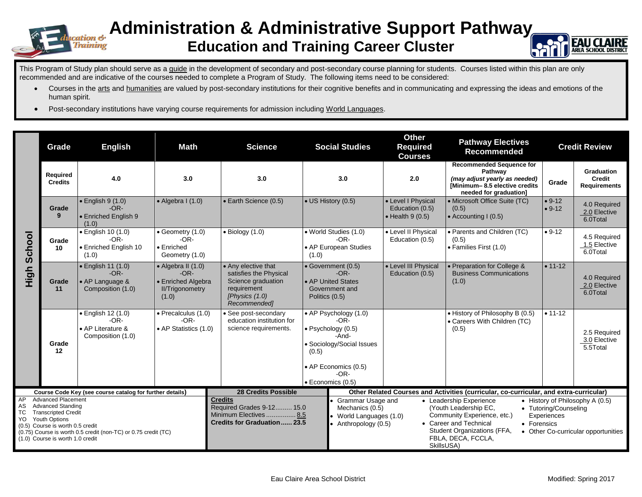

## **Administration & Administrative Support Pathway Education and Training Career Cluster**



This Program of Study plan should serve as a guide in the development of secondary and post-secondary course planning for students. Courses listed within this plan are only recommended and are indicative of the courses needed to complete a Program of Study. The following items need to be considered:

- Courses in the arts and humanities are valued by post-secondary institutions for their cognitive benefits and in communicating and expressing the ideas and emotions of the human spirit.
- Post-secondary institutions have varying course requirements for admission including World Languages.

|                                                                                                                                                                                                                                                                                                                                                  | Grade                      | <b>English</b><br><b>Math</b>                                                                                                    |                                                                                               | <b>Science</b>                                                                                                                                                                                           | <b>Social Studies</b>                                                                                                                                               |                                                                                                                                                        | <b>Other</b><br><b>Required</b><br><b>Courses</b>                                                                                                                                                                                                                        | <b>Pathway Electives</b><br><b>Recommended</b>                                                                                         |                      | <b>Credit Review</b>                               |
|--------------------------------------------------------------------------------------------------------------------------------------------------------------------------------------------------------------------------------------------------------------------------------------------------------------------------------------------------|----------------------------|----------------------------------------------------------------------------------------------------------------------------------|-----------------------------------------------------------------------------------------------|----------------------------------------------------------------------------------------------------------------------------------------------------------------------------------------------------------|---------------------------------------------------------------------------------------------------------------------------------------------------------------------|--------------------------------------------------------------------------------------------------------------------------------------------------------|--------------------------------------------------------------------------------------------------------------------------------------------------------------------------------------------------------------------------------------------------------------------------|----------------------------------------------------------------------------------------------------------------------------------------|----------------------|----------------------------------------------------|
|                                                                                                                                                                                                                                                                                                                                                  | Required<br><b>Credits</b> | 4.0                                                                                                                              | 3.0                                                                                           | 3.0                                                                                                                                                                                                      |                                                                                                                                                                     | 3.0                                                                                                                                                    | 2.0                                                                                                                                                                                                                                                                      | <b>Recommended Sequence for</b><br>Pathway<br>(may adjust yearly as needed)<br>[Minimum-8.5 elective credits<br>needed for graduation] | Grade                | Graduation<br><b>Credit</b><br><b>Requirements</b> |
| School<br>High                                                                                                                                                                                                                                                                                                                                   | Grade<br>9                 | $\bullet$ English 9 $(1.0)$<br>$-OR-$<br>• Enriched English 9<br>(1.0)                                                           | $\bullet$ Algebra I (1.0)                                                                     | • Earth Science (0.5)                                                                                                                                                                                    | • US History (0.5)                                                                                                                                                  |                                                                                                                                                        | • Level I Physical<br>Education (0.5)<br>$\bullet$ Health 9 (0.5)                                                                                                                                                                                                        | • Microsoft Office Suite (TC)<br>(0.5)<br>• Accounting I (0.5)                                                                         | $• 9-12$<br>$• 9-12$ | 4.0 Required<br>2.0 Elective<br>6.0Total           |
|                                                                                                                                                                                                                                                                                                                                                  | Grade<br>10                | · English 10 (1.0)<br>$-OR-$<br>• Enriched English 10<br>(1.0)                                                                   | • Geometry (1.0)<br>$-OR-$<br>$\bullet$ Enriched<br>Geometry (1.0)                            | $\bullet$ Biology (1.0)                                                                                                                                                                                  | • World Studies (1.0)<br>$-OR-$<br>• AP European Studies<br>(1.0)                                                                                                   |                                                                                                                                                        | • Level II Physical<br>Education (0.5)                                                                                                                                                                                                                                   | • Parents and Children (TC)<br>(0.5)<br>• Families First (1.0)                                                                         | $• 9-12$             | 4.5 Required<br>1.5 Elective<br>6.0Total           |
|                                                                                                                                                                                                                                                                                                                                                  | Grade<br>11                | • English 11 (1.0)<br>$-OR-$<br>• AP Language &<br>Composition (1.0)                                                             | $\bullet$ Algebra II (1.0)<br>$-OR-$<br>• Enriched Algebra<br><b>II/Trigonometry</b><br>(1.0) | • Any elective that<br>satisfies the Physical<br>Science graduation<br>requirement<br>[Physics (1.0)<br>Recommended]                                                                                     | • Government (0.5)<br>$-OR-$<br>• AP United States<br>Government and<br>Politics (0.5)                                                                              |                                                                                                                                                        | • Level III Physical<br>Education (0.5)                                                                                                                                                                                                                                  | • Preparation for College &<br><b>Business Communications</b><br>(1.0)                                                                 | $• 11 - 12$          | 4.0 Required<br>2.0 Elective<br>6.0Total           |
|                                                                                                                                                                                                                                                                                                                                                  | Grade<br>12                | • English 12 (1.0)<br>• Precalculus (1.0)<br>$-OR-$<br>$-OR-$<br>• AP Literature &<br>• AP Statistics (1.0)<br>Composition (1.0) |                                                                                               | • See post-secondary<br>education institution for<br>science requirements.                                                                                                                               | • AP Psychology (1.0)<br>$-OR-$<br>· Psychology (0.5)<br>-And-<br>• Sociology/Social Issues<br>(0.5)<br>• AP Economics (0.5)<br>$-OR-$<br>$\bullet$ Economics (0.5) |                                                                                                                                                        |                                                                                                                                                                                                                                                                          | • History of Philosophy B (0.5)<br>• Careers With Children (TC)<br>(0.5)                                                               | $• 11 - 12$          | 2.5 Required<br>3.0 Elective<br>5.5Total           |
| Course Code Key (see course catalog for further details)<br><b>Advanced Placement</b><br>AP<br><b>Advanced Standing</b><br>AS<br><b>TC</b><br><b>Transcripted Credit</b><br>YO<br><b>Youth Options</b><br>(0.5) Course is worth 0.5 credit<br>(0.75) Course is worth 0.5 credit (non-TC) or 0.75 credit (TC)<br>(1.0) Course is worth 1.0 credit |                            |                                                                                                                                  |                                                                                               | <b>28 Credits Possible</b><br><b>Credits</b><br>Grammar Usage and<br>Required Grades 9-12 15.0<br>Mechanics (0.5)<br>Minimum Electives  8.5<br><b>Credits for Graduation  23.5</b><br>Anthropology (0.5) |                                                                                                                                                                     | Other Related Courses and Activities (curricular, co-curricular, and extra-curricular)<br>• Leadership Experience<br>• History of Philosophy A $(0.5)$ |                                                                                                                                                                                                                                                                          |                                                                                                                                        |                      |                                                    |
|                                                                                                                                                                                                                                                                                                                                                  |                            |                                                                                                                                  |                                                                                               |                                                                                                                                                                                                          |                                                                                                                                                                     |                                                                                                                                                        | (Youth Leadership EC,<br>• Tutoring/Counseling<br>Community Experience, etc.)<br>World Languages (1.0)<br>Experiences<br>• Career and Technical<br>• Forensics<br>Student Organizations (FFA,<br>• Other Co-curricular opportunities<br>FBLA, DECA, FCCLA,<br>SkillsUSA) |                                                                                                                                        |                      |                                                    |